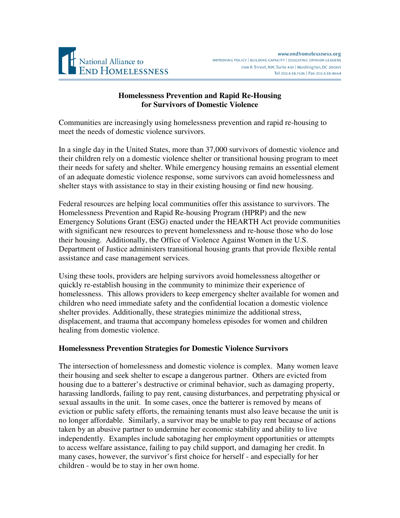

# **Homelessness Prevention and Rapid Re-Housing for Survivors of Domestic Violence**

Communities are increasingly using homelessness prevention and rapid re-housing to meet the needs of domestic violence survivors.

In a single day in the United States, more than 37,000 survivors of domestic violence and their children rely on a domestic violence shelter or transitional housing program to meet their needs for safety and shelter. While emergency housing remains an essential element of an adequate domestic violence response, some survivors can avoid homelessness and shelter stays with assistance to stay in their existing housing or find new housing.

Federal resources are helping local communities offer this assistance to survivors. The Homelessness Prevention and Rapid Re-housing Program (HPRP) and the new Emergency Solutions Grant (ESG) enacted under the HEARTH Act provide communities with significant new resources to prevent homelessness and re-house those who do lose their housing. Additionally, the Office of Violence Against Women in the U.S. Department of Justice administers transitional housing grants that provide flexible rental assistance and case management services.

Using these tools, providers are helping survivors avoid homelessness altogether or quickly re-establish housing in the community to minimize their experience of homelessness. This allows providers to keep emergency shelter available for women and children who need immediate safety and the confidential location a domestic violence shelter provides. Additionally, these strategies minimize the additional stress, displacement, and trauma that accompany homeless episodes for women and children healing from domestic violence.

### **Homelessness Prevention Strategies for Domestic Violence Survivors**

The intersection of homelessness and domestic violence is complex. Many women leave their housing and seek shelter to escape a dangerous partner. Others are evicted from housing due to a batterer's destructive or criminal behavior, such as damaging property, harassing landlords, failing to pay rent, causing disturbances, and perpetrating physical or sexual assaults in the unit. In some cases, once the batterer is removed by means of eviction or public safety efforts, the remaining tenants must also leave because the unit is no longer affordable. Similarly, a survivor may be unable to pay rent because of actions taken by an abusive partner to undermine her economic stability and ability to live independently. Examples include sabotaging her employment opportunities or attempts to access welfare assistance, failing to pay child support, and damaging her credit. In many cases, however, the survivor's first choice for herself - and especially for her children - would be to stay in her own home.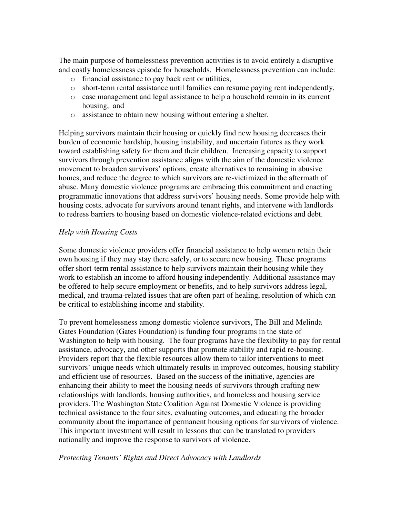The main purpose of homelessness prevention activities is to avoid entirely a disruptive and costly homelessness episode for households. Homelessness prevention can include:

- o financial assistance to pay back rent or utilities,
- o short-term rental assistance until families can resume paying rent independently,
- o case management and legal assistance to help a household remain in its current housing, and
- o assistance to obtain new housing without entering a shelter.

Helping survivors maintain their housing or quickly find new housing decreases their burden of economic hardship, housing instability, and uncertain futures as they work toward establishing safety for them and their children. Increasing capacity to support survivors through prevention assistance aligns with the aim of the domestic violence movement to broaden survivors' options, create alternatives to remaining in abusive homes, and reduce the degree to which survivors are re-victimized in the aftermath of abuse. Many domestic violence programs are embracing this commitment and enacting programmatic innovations that address survivors' housing needs. Some provide help with housing costs, advocate for survivors around tenant rights, and intervene with landlords to redress barriers to housing based on domestic violence-related evictions and debt.

## *Help with Housing Costs*

Some domestic violence providers offer financial assistance to help women retain their own housing if they may stay there safely, or to secure new housing. These programs offer short-term rental assistance to help survivors maintain their housing while they work to establish an income to afford housing independently. Additional assistance may be offered to help secure employment or benefits, and to help survivors address legal, medical, and trauma-related issues that are often part of healing, resolution of which can be critical to establishing income and stability.

To prevent homelessness among domestic violence survivors, The Bill and Melinda Gates Foundation (Gates Foundation) is funding four programs in the state of Washington to help with housing. The four programs have the flexibility to pay for rental assistance, advocacy, and other supports that promote stability and rapid re-housing. Providers report that the flexible resources allow them to tailor interventions to meet survivors' unique needs which ultimately results in improved outcomes, housing stability and efficient use of resources. Based on the success of the initiative, agencies are enhancing their ability to meet the housing needs of survivors through crafting new relationships with landlords, housing authorities, and homeless and housing service providers. The Washington State Coalition Against Domestic Violence is providing technical assistance to the four sites, evaluating outcomes, and educating the broader community about the importance of permanent housing options for survivors of violence. This important investment will result in lessons that can be translated to providers nationally and improve the response to survivors of violence.

### *Protecting Tenants' Rights and Direct Advocacy with Landlords*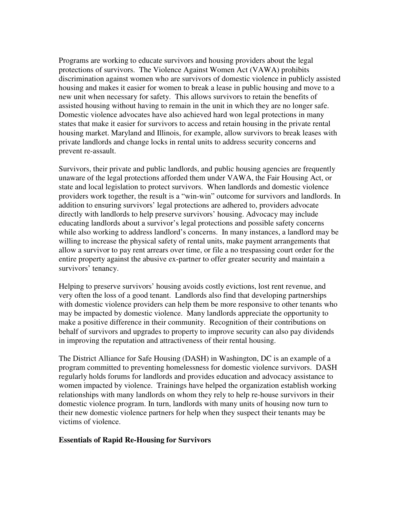Programs are working to educate survivors and housing providers about the legal protections of survivors. The Violence Against Women Act (VAWA) prohibits discrimination against women who are survivors of domestic violence in publicly assisted housing and makes it easier for women to break a lease in public housing and move to a new unit when necessary for safety. This allows survivors to retain the benefits of assisted housing without having to remain in the unit in which they are no longer safe. Domestic violence advocates have also achieved hard won legal protections in many states that make it easier for survivors to access and retain housing in the private rental housing market. Maryland and Illinois, for example, allow survivors to break leases with private landlords and change locks in rental units to address security concerns and prevent re-assault.

Survivors, their private and public landlords, and public housing agencies are frequently unaware of the legal protections afforded them under VAWA, the Fair Housing Act, or state and local legislation to protect survivors. When landlords and domestic violence providers work together, the result is a "win-win" outcome for survivors and landlords. In addition to ensuring survivors' legal protections are adhered to, providers advocate directly with landlords to help preserve survivors' housing. Advocacy may include educating landlords about a survivor's legal protections and possible safety concerns while also working to address landlord's concerns. In many instances, a landlord may be willing to increase the physical safety of rental units, make payment arrangements that allow a survivor to pay rent arrears over time, or file a no trespassing court order for the entire property against the abusive ex-partner to offer greater security and maintain a survivors' tenancy.

Helping to preserve survivors' housing avoids costly evictions, lost rent revenue, and very often the loss of a good tenant. Landlords also find that developing partnerships with domestic violence providers can help them be more responsive to other tenants who may be impacted by domestic violence. Many landlords appreciate the opportunity to make a positive difference in their community. Recognition of their contributions on behalf of survivors and upgrades to property to improve security can also pay dividends in improving the reputation and attractiveness of their rental housing.

The District Alliance for Safe Housing (DASH) in Washington, DC is an example of a program committed to preventing homelessness for domestic violence survivors. DASH regularly holds forums for landlords and provides education and advocacy assistance to women impacted by violence. Trainings have helped the organization establish working relationships with many landlords on whom they rely to help re-house survivors in their domestic violence program. In turn, landlords with many units of housing now turn to their new domestic violence partners for help when they suspect their tenants may be victims of violence.

### **Essentials of Rapid Re-Housing for Survivors**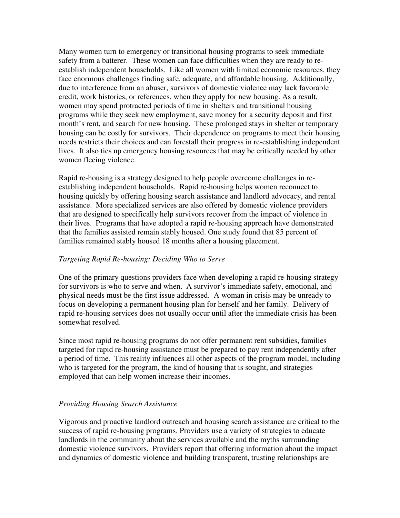Many women turn to emergency or transitional housing programs to seek immediate safety from a batterer. These women can face difficulties when they are ready to reestablish independent households. Like all women with limited economic resources, they face enormous challenges finding safe, adequate, and affordable housing. Additionally, due to interference from an abuser, survivors of domestic violence may lack favorable credit, work histories, or references, when they apply for new housing. As a result, women may spend protracted periods of time in shelters and transitional housing programs while they seek new employment, save money for a security deposit and first month's rent, and search for new housing. These prolonged stays in shelter or temporary housing can be costly for survivors. Their dependence on programs to meet their housing needs restricts their choices and can forestall their progress in re-establishing independent lives. It also ties up emergency housing resources that may be critically needed by other women fleeing violence.

Rapid re-housing is a strategy designed to help people overcome challenges in reestablishing independent households. Rapid re-housing helps women reconnect to housing quickly by offering housing search assistance and landlord advocacy, and rental assistance. More specialized services are also offered by domestic violence providers that are designed to specifically help survivors recover from the impact of violence in their lives. Programs that have adopted a rapid re-housing approach have demonstrated that the families assisted remain stably housed. One study found that 85 percent of families remained stably housed 18 months after a housing placement.

# *Targeting Rapid Re-housing: Deciding Who to Serve*

One of the primary questions providers face when developing a rapid re-housing strategy for survivors is who to serve and when. A survivor's immediate safety, emotional, and physical needs must be the first issue addressed. A woman in crisis may be unready to focus on developing a permanent housing plan for herself and her family. Delivery of rapid re-housing services does not usually occur until after the immediate crisis has been somewhat resolved.

Since most rapid re-housing programs do not offer permanent rent subsidies, families targeted for rapid re-housing assistance must be prepared to pay rent independently after a period of time. This reality influences all other aspects of the program model, including who is targeted for the program, the kind of housing that is sought, and strategies employed that can help women increase their incomes.

### *Providing Housing Search Assistance*

Vigorous and proactive landlord outreach and housing search assistance are critical to the success of rapid re-housing programs. Providers use a variety of strategies to educate landlords in the community about the services available and the myths surrounding domestic violence survivors. Providers report that offering information about the impact and dynamics of domestic violence and building transparent, trusting relationships are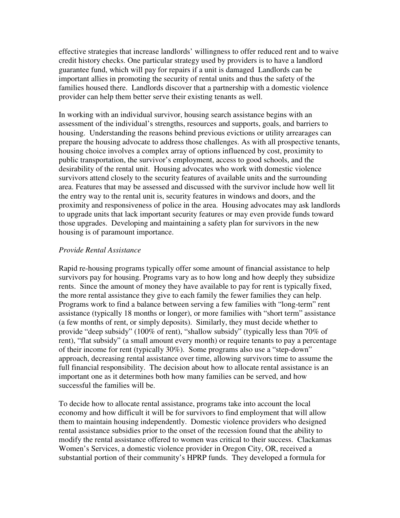effective strategies that increase landlords' willingness to offer reduced rent and to waive credit history checks. One particular strategy used by providers is to have a landlord guarantee fund, which will pay for repairs if a unit is damaged Landlords can be important allies in promoting the security of rental units and thus the safety of the families housed there. Landlords discover that a partnership with a domestic violence provider can help them better serve their existing tenants as well.

In working with an individual survivor, housing search assistance begins with an assessment of the individual's strengths, resources and supports, goals, and barriers to housing. Understanding the reasons behind previous evictions or utility arrearages can prepare the housing advocate to address those challenges. As with all prospective tenants, housing choice involves a complex array of options influenced by cost, proximity to public transportation, the survivor's employment, access to good schools, and the desirability of the rental unit. Housing advocates who work with domestic violence survivors attend closely to the security features of available units and the surrounding area. Features that may be assessed and discussed with the survivor include how well lit the entry way to the rental unit is, security features in windows and doors, and the proximity and responsiveness of police in the area. Housing advocates may ask landlords to upgrade units that lack important security features or may even provide funds toward those upgrades. Developing and maintaining a safety plan for survivors in the new housing is of paramount importance.

### *Provide Rental Assistance*

Rapid re-housing programs typically offer some amount of financial assistance to help survivors pay for housing. Programs vary as to how long and how deeply they subsidize rents. Since the amount of money they have available to pay for rent is typically fixed, the more rental assistance they give to each family the fewer families they can help. Programs work to find a balance between serving a few families with "long-term" rent assistance (typically 18 months or longer), or more families with "short term" assistance (a few months of rent, or simply deposits). Similarly, they must decide whether to provide "deep subsidy" (100% of rent), "shallow subsidy" (typically less than 70% of rent), "flat subsidy" (a small amount every month) or require tenants to pay a percentage of their income for rent (typically 30%). Some programs also use a "step-down" approach, decreasing rental assistance over time, allowing survivors time to assume the full financial responsibility. The decision about how to allocate rental assistance is an important one as it determines both how many families can be served, and how successful the families will be.

To decide how to allocate rental assistance, programs take into account the local economy and how difficult it will be for survivors to find employment that will allow them to maintain housing independently. Domestic violence providers who designed rental assistance subsidies prior to the onset of the recession found that the ability to modify the rental assistance offered to women was critical to their success. Clackamas Women's Services, a domestic violence provider in Oregon City, OR, received a substantial portion of their community's HPRP funds. They developed a formula for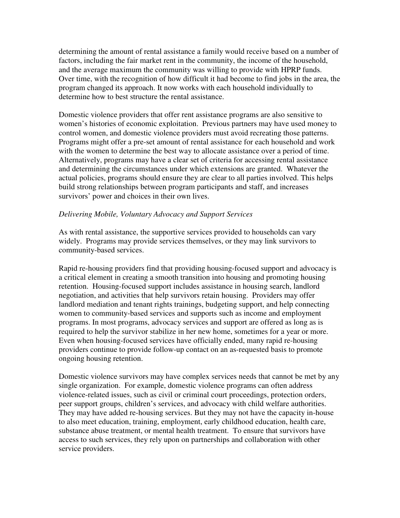determining the amount of rental assistance a family would receive based on a number of factors, including the fair market rent in the community, the income of the household, and the average maximum the community was willing to provide with HPRP funds. Over time, with the recognition of how difficult it had become to find jobs in the area, the program changed its approach. It now works with each household individually to determine how to best structure the rental assistance.

Domestic violence providers that offer rent assistance programs are also sensitive to women's histories of economic exploitation. Previous partners may have used money to control women, and domestic violence providers must avoid recreating those patterns. Programs might offer a pre-set amount of rental assistance for each household and work with the women to determine the best way to allocate assistance over a period of time. Alternatively, programs may have a clear set of criteria for accessing rental assistance and determining the circumstances under which extensions are granted. Whatever the actual policies, programs should ensure they are clear to all parties involved. This helps build strong relationships between program participants and staff, and increases survivors' power and choices in their own lives.

### *Delivering Mobile, Voluntary Advocacy and Support Services*

As with rental assistance, the supportive services provided to households can vary widely. Programs may provide services themselves, or they may link survivors to community-based services.

Rapid re-housing providers find that providing housing-focused support and advocacy is a critical element in creating a smooth transition into housing and promoting housing retention. Housing-focused support includes assistance in housing search, landlord negotiation, and activities that help survivors retain housing. Providers may offer landlord mediation and tenant rights trainings, budgeting support, and help connecting women to community-based services and supports such as income and employment programs. In most programs, advocacy services and support are offered as long as is required to help the survivor stabilize in her new home, sometimes for a year or more. Even when housing-focused services have officially ended, many rapid re-housing providers continue to provide follow-up contact on an as-requested basis to promote ongoing housing retention.

Domestic violence survivors may have complex services needs that cannot be met by any single organization. For example, domestic violence programs can often address violence-related issues, such as civil or criminal court proceedings, protection orders, peer support groups, children's services, and advocacy with child welfare authorities. They may have added re-housing services. But they may not have the capacity in-house to also meet education, training, employment, early childhood education, health care, substance abuse treatment, or mental health treatment. To ensure that survivors have access to such services, they rely upon on partnerships and collaboration with other service providers.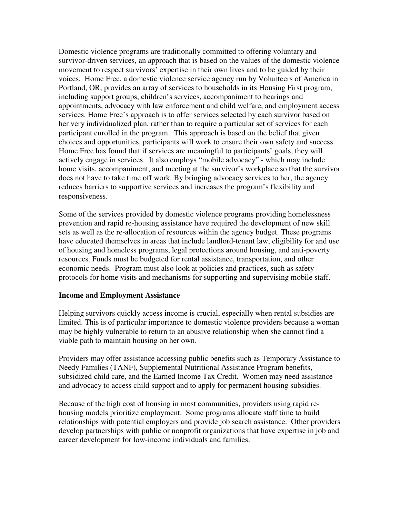Domestic violence programs are traditionally committed to offering voluntary and survivor-driven services, an approach that is based on the values of the domestic violence movement to respect survivors' expertise in their own lives and to be guided by their voices. Home Free, a domestic violence service agency run by Volunteers of America in Portland, OR, provides an array of services to households in its Housing First program, including support groups, children's services, accompaniment to hearings and appointments, advocacy with law enforcement and child welfare, and employment access services. Home Free's approach is to offer services selected by each survivor based on her very individualized plan, rather than to require a particular set of services for each participant enrolled in the program. This approach is based on the belief that given choices and opportunities, participants will work to ensure their own safety and success. Home Free has found that if services are meaningful to participants' goals, they will actively engage in services. It also employs "mobile advocacy" - which may include home visits, accompaniment, and meeting at the survivor's workplace so that the survivor does not have to take time off work. By bringing advocacy services to her, the agency reduces barriers to supportive services and increases the program's flexibility and responsiveness.

Some of the services provided by domestic violence programs providing homelessness prevention and rapid re-housing assistance have required the development of new skill sets as well as the re-allocation of resources within the agency budget. These programs have educated themselves in areas that include landlord-tenant law, eligibility for and use of housing and homeless programs, legal protections around housing, and anti-poverty resources. Funds must be budgeted for rental assistance, transportation, and other economic needs. Program must also look at policies and practices, such as safety protocols for home visits and mechanisms for supporting and supervising mobile staff.

### **Income and Employment Assistance**

Helping survivors quickly access income is crucial, especially when rental subsidies are limited. This is of particular importance to domestic violence providers because a woman may be highly vulnerable to return to an abusive relationship when she cannot find a viable path to maintain housing on her own.

Providers may offer assistance accessing public benefits such as Temporary Assistance to Needy Families (TANF), Supplemental Nutritional Assistance Program benefits, subsidized child care, and the Earned Income Tax Credit. Women may need assistance and advocacy to access child support and to apply for permanent housing subsidies.

Because of the high cost of housing in most communities, providers using rapid rehousing models prioritize employment. Some programs allocate staff time to build relationships with potential employers and provide job search assistance. Other providers develop partnerships with public or nonprofit organizations that have expertise in job and career development for low-income individuals and families.